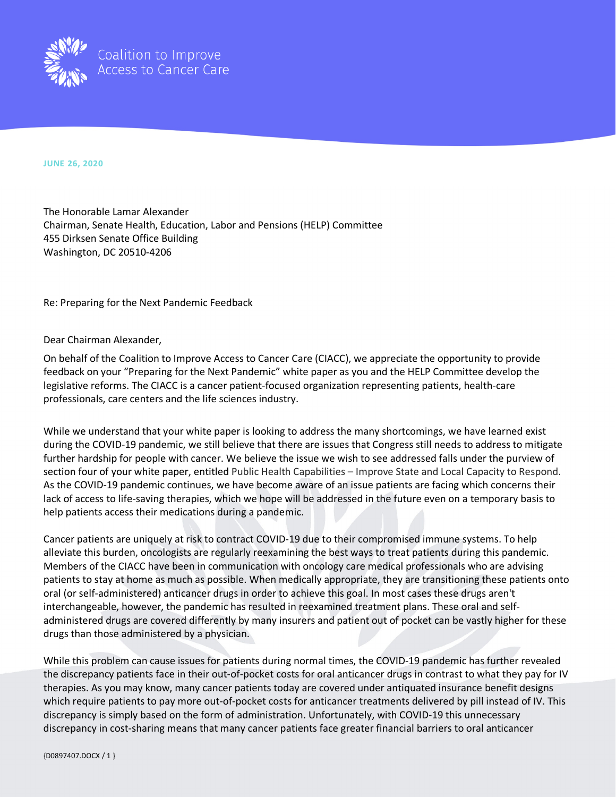

**JUNE 26, 2020**

The Honorable Lamar Alexander Chairman, Senate Health, Education, Labor and Pensions (HELP) Committee 455 Dirksen Senate Office Building Washington, DC 20510-4206

Re: Preparing for the Next Pandemic Feedback

Dear Chairman Alexander,

On behalf of the Coalition to Improve Access to Cancer Care (CIACC), we appreciate the opportunity to provide feedback on your "Preparing for the Next Pandemic" white paper as you and the HELP Committee develop the legislative reforms. The CIACC is a cancer patient-focused organization representing patients, health-care professionals, care centers and the life sciences industry.

While we understand that your white paper is looking to address the many shortcomings, we have learned exist during the COVID-19 pandemic, we still believe that there are issues that Congress still needs to address to mitigate further hardship for people with cancer. We believe the issue we wish to see addressed falls under the purview of section four of your white paper, entitled Public Health Capabilities – Improve State and Local Capacity to Respond. As the COVID-19 pandemic continues, we have become aware of an issue patients are facing which concerns their lack of access to life-saving therapies, which we hope will be addressed in the future even on a temporary basis to help patients access their medications during a pandemic.

Cancer patients are uniquely at risk to contract COVID-19 due to their compromised immune systems. To help alleviate this burden, oncologists are regularly reexamining the best ways to treat patients during this pandemic. Members of the CIACC have been in communication with oncology care medical professionals who are advising patients to stay at home as much as possible. When medically appropriate, they are transitioning these patients onto oral (or self-administered) anticancer drugs in order to achieve this goal. In most cases these drugs aren't interchangeable, however, the pandemic has resulted in reexamined treatment plans. These oral and selfadministered drugs are covered differently by many insurers and patient out of pocket can be vastly higher for these drugs than those administered by a physician.

While this problem can cause issues for patients during normal times, the COVID-19 pandemic has further revealed the discrepancy patients face in their out-of-pocket costs for oral anticancer drugs in contrast to what they pay for IV therapies. As you may know, many cancer patients today are covered under antiquated insurance benefit designs which require patients to pay more out-of-pocket costs for anticancer treatments delivered by pill instead of IV. This discrepancy is simply based on the form of administration. Unfortunately, with COVID-19 this unnecessary discrepancy in cost-sharing means that many cancer patients face greater financial barriers to oral anticancer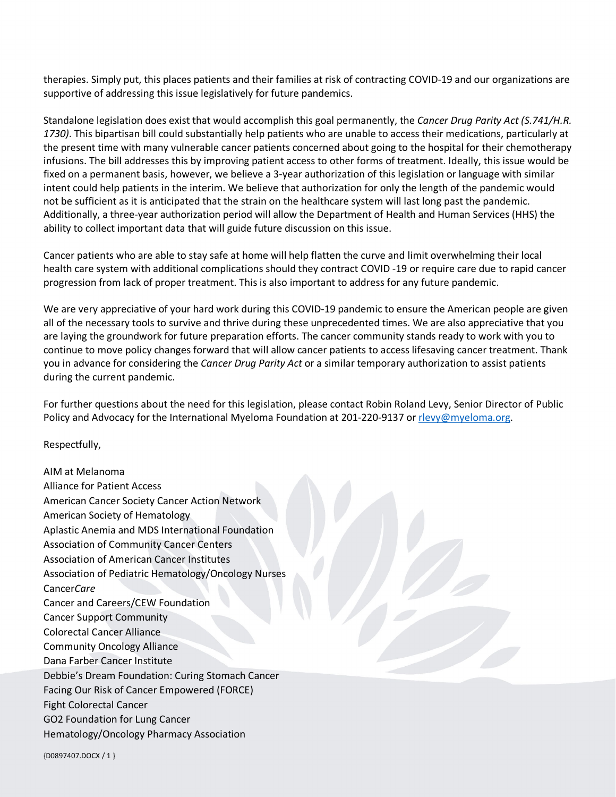therapies. Simply put, this places patients and their families at risk of contracting COVID-19 and our organizations are supportive of addressing this issue legislatively for future pandemics.

Standalone legislation does exist that would accomplish this goal permanently, the *Cancer Drug Parity Act (S.741/H.R. 1730)*. This bipartisan bill could substantially help patients who are unable to access their medications, particularly at the present time with many vulnerable cancer patients concerned about going to the hospital for their chemotherapy infusions. The bill addresses this by improving patient access to other forms of treatment. Ideally, this issue would be fixed on a permanent basis, however, we believe a 3-year authorization of this legislation or language with similar intent could help patients in the interim. We believe that authorization for only the length of the pandemic would not be sufficient as it is anticipated that the strain on the healthcare system will last long past the pandemic. Additionally, a three-year authorization period will allow the Department of Health and Human Services (HHS) the ability to collect important data that will guide future discussion on this issue.

Cancer patients who are able to stay safe at home will help flatten the curve and limit overwhelming their local health care system with additional complications should they contract COVID -19 or require care due to rapid cancer progression from lack of proper treatment. This is also important to address for any future pandemic.

We are very appreciative of your hard work during this COVID-19 pandemic to ensure the American people are given all of the necessary tools to survive and thrive during these unprecedented times. We are also appreciative that you are laying the groundwork for future preparation efforts. The cancer community stands ready to work with you to continue to move policy changes forward that will allow cancer patients to access lifesaving cancer treatment. Thank you in advance for considering the *Cancer Drug Parity Act* or a similar temporary authorization to assist patients during the current pandemic.

For further questions about the need for this legislation, please contact Robin Roland Levy, Senior Director of Public Policy and Advocacy for the International Myeloma Foundation at 201-220-9137 or [rlevy@myeloma.org.](mailto:rlevy@myeloma.org)

Respectfully,

AIM at Melanoma Alliance for Patient Access American Cancer Society Cancer Action Network American Society of Hematology Aplastic Anemia and MDS International Foundation Association of Community Cancer Centers Association of American Cancer Institutes Association of Pediatric Hematology/Oncology Nurses Cancer*Care* Cancer and Careers/CEW Foundation Cancer Support Community Colorectal Cancer Alliance Community Oncology Alliance Dana Farber Cancer Institute Debbie's Dream Foundation: Curing Stomach Cancer Facing Our Risk of Cancer Empowered (FORCE) Fight Colorectal Cancer GO2 Foundation for Lung Cancer Hematology/Oncology Pharmacy Association

{D0897407.DOCX / 1 }